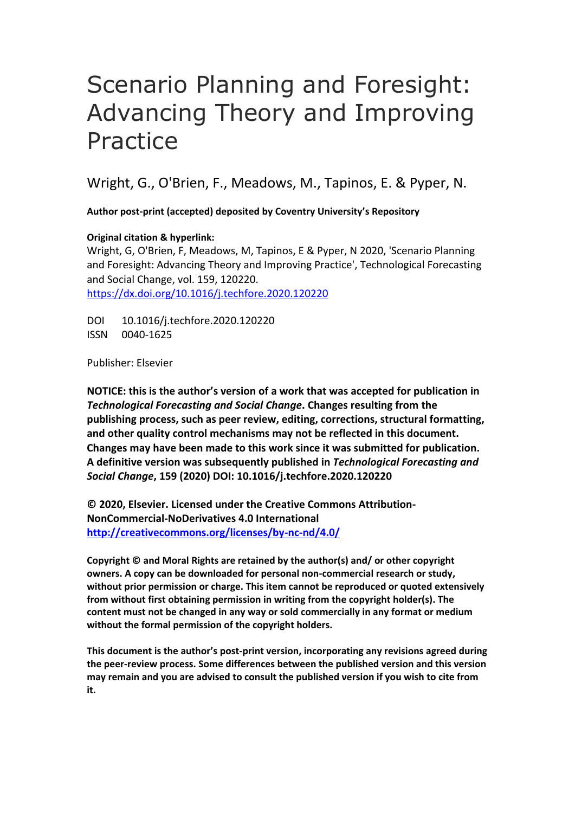# Scenario Planning and Foresight: Advancing Theory and Improving Practice

Wright, G., O'Brien, F., Meadows, M., Tapinos, E. & Pyper, N.

**Author post-print (accepted) deposited by Coventry University's Repository**

## **Original citation & hyperlink:**

Wright, G, O'Brien, F, Meadows, M, Tapinos, E & Pyper, N 2020, 'Scenario Planning and Foresight: Advancing Theory and Improving Practice', Technological Forecasting and Social Change, vol. 159, 120220. <https://dx.doi.org/10.1016/j.techfore.2020.120220>

DOI 10.1016/j.techfore.2020.120220 ISSN 0040-1625

Publisher: Elsevier

**NOTICE: this is the author's version of a work that was accepted for publication in**  *Technological Forecasting and Social Change***. Changes resulting from the publishing process, such as peer review, editing, corrections, structural formatting, and other quality control mechanisms may not be reflected in this document. Changes may have been made to this work since it was submitted for publication. A definitive version was subsequently published in** *Technological Forecasting and Social Change***, 159 (2020) DOI: 10.1016/j.techfore.2020.120220**

**© 2020, Elsevier. Licensed under the Creative Commons Attribution-NonCommercial-NoDerivatives 4.0 International <http://creativecommons.org/licenses/by-nc-nd/4.0/>**

**Copyright © and Moral Rights are retained by the author(s) and/ or other copyright owners. A copy can be downloaded for personal non-commercial research or study, without prior permission or charge. This item cannot be reproduced or quoted extensively from without first obtaining permission in writing from the copyright holder(s). The content must not be changed in any way or sold commercially in any format or medium without the formal permission of the copyright holders.** 

**This document is the author's post-print version, incorporating any revisions agreed during the peer-review process. Some differences between the published version and this version may remain and you are advised to consult the published version if you wish to cite from it.**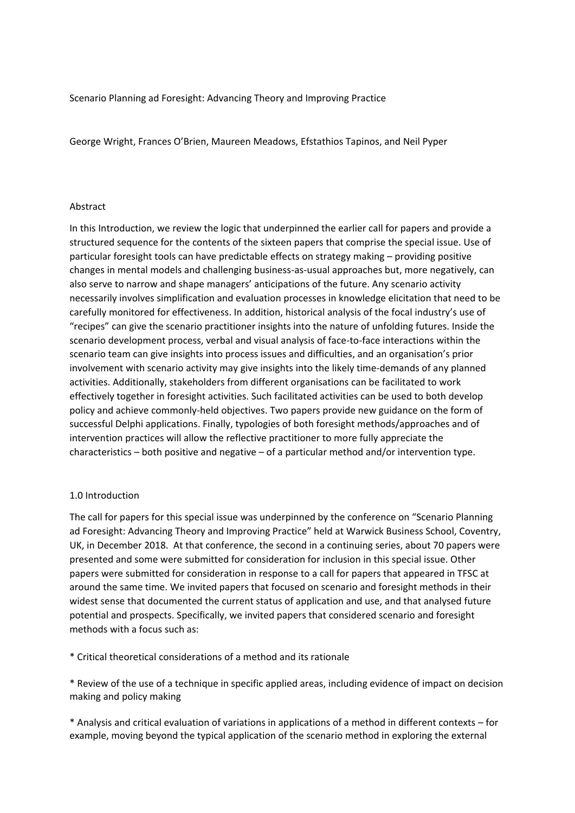Scenario Planning ad Foresight: Advancing Theory and Improving Practice

George Wright, Frances O'Brien, Maureen Meadows, Efstathios Tapinos, and Neil Pyper

#### Abstract

In this Introduction, we review the logic that underpinned the earlier call for papers and provide a structured sequence for the contents of the sixteen papers that comprise the special issue. Use of particular foresight tools can have predictable effects on strategy making – providing positive changes in mental models and challenging business-as-usual approaches but, more negatively, can also serve to narrow and shape managers' anticipations of the future. Any scenario activity necessarily involves simplification and evaluation processes in knowledge elicitation that need to be carefully monitored for effectiveness. In addition, historical analysis of the focal industry's use of "recipes" can give the scenario practitioner insights into the nature of unfolding futures. Inside the scenario development process, verbal and visual analysis of face-to-face interactions within the scenario team can give insights into process issues and difficulties, and an organisation's prior involvement with scenario activity may give insights into the likely time-demands of any planned activities. Additionally, stakeholders from different organisations can be facilitated to work effectively together in foresight activities. Such facilitated activities can be used to both develop policy and achieve commonly-held objectives. Two papers provide new guidance on the form of successful Delphi applications. Finally, typologies of both foresight methods/approaches and of intervention practices will allow the reflective practitioner to more fully appreciate the characteristics – both positive and negative – of a particular method and/or intervention type.

#### 1.0 Introduction

The call for papers for this special issue was underpinned by the conference on "Scenario Planning ad Foresight: Advancing Theory and Improving Practice" held at Warwick Business School, Coventry, UK, in December 2018. At that conference, the second in a continuing series, about 70 papers were presented and some were submitted for consideration for inclusion in this special issue. Other papers were submitted for consideration in response to a call for papers that appeared in TFSC at around the same time. We invited papers that focused on scenario and foresight methods in their widest sense that documented the current status of application and use, and that analysed future potential and prospects. Specifically, we invited papers that considered scenario and foresight methods with a focus such as:

\* Critical theoretical considerations of a method and its rationale

\* Review of the use of a technique in specific applied areas, including evidence of impact on decision making and policy making

\* Analysis and critical evaluation of variations in applications of a method in different contexts – for example, moving beyond the typical application of the scenario method in exploring the external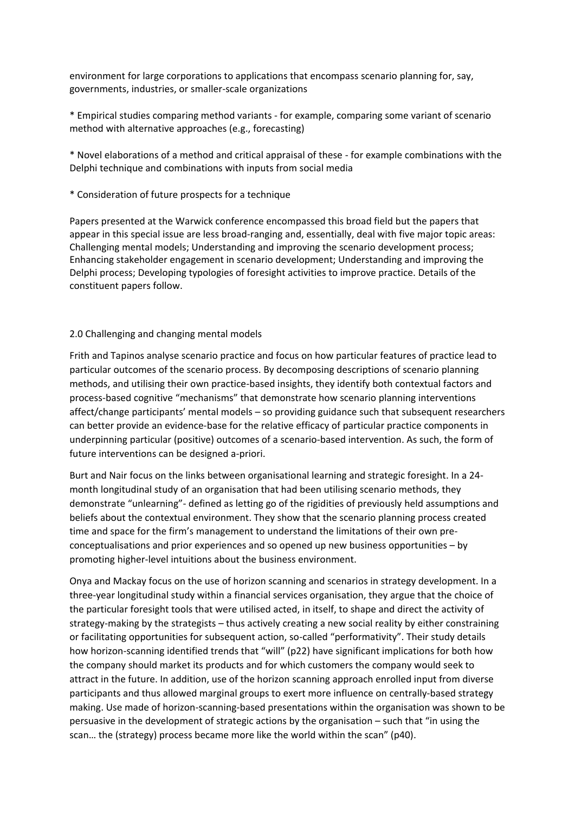environment for large corporations to applications that encompass scenario planning for, say, governments, industries, or smaller-scale organizations

\* Empirical studies comparing method variants - for example, comparing some variant of scenario method with alternative approaches (e.g., forecasting)

\* Novel elaborations of a method and critical appraisal of these - for example combinations with the Delphi technique and combinations with inputs from social media

\* Consideration of future prospects for a technique

Papers presented at the Warwick conference encompassed this broad field but the papers that appear in this special issue are less broad-ranging and, essentially, deal with five major topic areas: Challenging mental models; Understanding and improving the scenario development process; Enhancing stakeholder engagement in scenario development; Understanding and improving the Delphi process; Developing typologies of foresight activities to improve practice. Details of the constituent papers follow.

#### 2.0 Challenging and changing mental models

Frith and Tapinos analyse scenario practice and focus on how particular features of practice lead to particular outcomes of the scenario process. By decomposing descriptions of scenario planning methods, and utilising their own practice-based insights, they identify both contextual factors and process-based cognitive "mechanisms" that demonstrate how scenario planning interventions affect/change participants' mental models – so providing guidance such that subsequent researchers can better provide an evidence-base for the relative efficacy of particular practice components in underpinning particular (positive) outcomes of a scenario-based intervention. As such, the form of future interventions can be designed a-priori.

Burt and Nair focus on the links between organisational learning and strategic foresight. In a 24 month longitudinal study of an organisation that had been utilising scenario methods, they demonstrate "unlearning"- defined as letting go of the rigidities of previously held assumptions and beliefs about the contextual environment. They show that the scenario planning process created time and space for the firm's management to understand the limitations of their own preconceptualisations and prior experiences and so opened up new business opportunities – by promoting higher-level intuitions about the business environment.

Onya and Mackay focus on the use of horizon scanning and scenarios in strategy development. In a three-year longitudinal study within a financial services organisation, they argue that the choice of the particular foresight tools that were utilised acted, in itself, to shape and direct the activity of strategy-making by the strategists – thus actively creating a new social reality by either constraining or facilitating opportunities for subsequent action, so-called "performativity". Their study details how horizon-scanning identified trends that "will" (p22) have significant implications for both how the company should market its products and for which customers the company would seek to attract in the future. In addition, use of the horizon scanning approach enrolled input from diverse participants and thus allowed marginal groups to exert more influence on centrally-based strategy making. Use made of horizon-scanning-based presentations within the organisation was shown to be persuasive in the development of strategic actions by the organisation – such that "in using the scan… the (strategy) process became more like the world within the scan" (p40).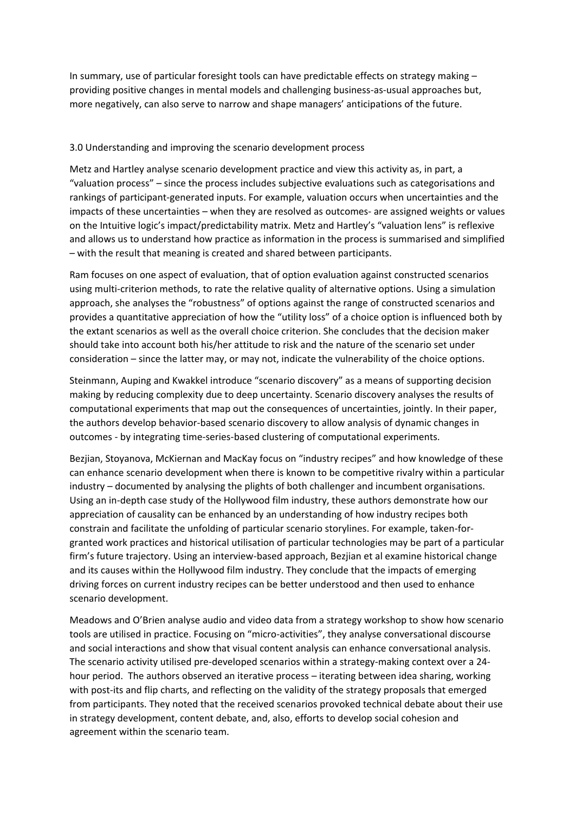In summary, use of particular foresight tools can have predictable effects on strategy making – providing positive changes in mental models and challenging business-as-usual approaches but, more negatively, can also serve to narrow and shape managers' anticipations of the future.

#### 3.0 Understanding and improving the scenario development process

Metz and Hartley analyse scenario development practice and view this activity as, in part, a "valuation process" – since the process includes subjective evaluations such as categorisations and rankings of participant-generated inputs. For example, valuation occurs when uncertainties and the impacts of these uncertainties – when they are resolved as outcomes- are assigned weights or values on the Intuitive logic's impact/predictability matrix. Metz and Hartley's "valuation lens" is reflexive and allows us to understand how practice as information in the process is summarised and simplified – with the result that meaning is created and shared between participants.

Ram focuses on one aspect of evaluation, that of option evaluation against constructed scenarios using multi-criterion methods, to rate the relative quality of alternative options. Using a simulation approach, she analyses the "robustness" of options against the range of constructed scenarios and provides a quantitative appreciation of how the "utility loss" of a choice option is influenced both by the extant scenarios as well as the overall choice criterion. She concludes that the decision maker should take into account both his/her attitude to risk and the nature of the scenario set under consideration – since the latter may, or may not, indicate the vulnerability of the choice options.

Steinmann, Auping and Kwakkel introduce "scenario discovery" as a means of supporting decision making by reducing complexity due to deep uncertainty. Scenario discovery analyses the results of computational experiments that map out the consequences of uncertainties, jointly. In their paper, the authors develop behavior-based scenario discovery to allow analysis of dynamic changes in outcomes - by integrating time-series-based clustering of computational experiments.

Bezjian, Stoyanova, McKiernan and MacKay focus on "industry recipes" and how knowledge of these can enhance scenario development when there is known to be competitive rivalry within a particular industry – documented by analysing the plights of both challenger and incumbent organisations. Using an in-depth case study of the Hollywood film industry, these authors demonstrate how our appreciation of causality can be enhanced by an understanding of how industry recipes both constrain and facilitate the unfolding of particular scenario storylines. For example, taken-forgranted work practices and historical utilisation of particular technologies may be part of a particular firm's future trajectory. Using an interview-based approach, Bezjian et al examine historical change and its causes within the Hollywood film industry. They conclude that the impacts of emerging driving forces on current industry recipes can be better understood and then used to enhance scenario development.

Meadows and O'Brien analyse audio and video data from a strategy workshop to show how scenario tools are utilised in practice. Focusing on "micro-activities", they analyse conversational discourse and social interactions and show that visual content analysis can enhance conversational analysis. The scenario activity utilised pre-developed scenarios within a strategy-making context over a 24 hour period. The authors observed an iterative process – iterating between idea sharing, working with post-its and flip charts, and reflecting on the validity of the strategy proposals that emerged from participants. They noted that the received scenarios provoked technical debate about their use in strategy development, content debate, and, also, efforts to develop social cohesion and agreement within the scenario team.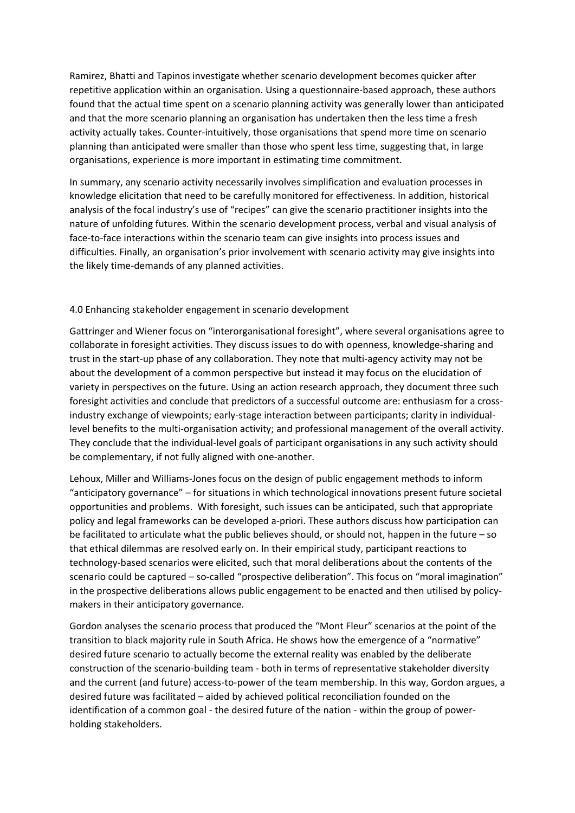Ramirez, Bhatti and Tapinos investigate whether scenario development becomes quicker after repetitive application within an organisation. Using a questionnaire-based approach, these authors found that the actual time spent on a scenario planning activity was generally lower than anticipated and that the more scenario planning an organisation has undertaken then the less time a fresh activity actually takes. Counter-intuitively, those organisations that spend more time on scenario planning than anticipated were smaller than those who spent less time, suggesting that, in large organisations, experience is more important in estimating time commitment.

In summary, any scenario activity necessarily involves simplification and evaluation processes in knowledge elicitation that need to be carefully monitored for effectiveness. In addition, historical analysis of the focal industry's use of "recipes" can give the scenario practitioner insights into the nature of unfolding futures. Within the scenario development process, verbal and visual analysis of face-to-face interactions within the scenario team can give insights into process issues and difficulties. Finally, an organisation's prior involvement with scenario activity may give insights into the likely time-demands of any planned activities.

#### 4.0 Enhancing stakeholder engagement in scenario development

Gattringer and Wiener focus on "interorganisational foresight", where several organisations agree to collaborate in foresight activities. They discuss issues to do with openness, knowledge-sharing and trust in the start-up phase of any collaboration. They note that multi-agency activity may not be about the development of a common perspective but instead it may focus on the elucidation of variety in perspectives on the future. Using an action research approach, they document three such foresight activities and conclude that predictors of a successful outcome are: enthusiasm for a crossindustry exchange of viewpoints; early-stage interaction between participants; clarity in individuallevel benefits to the multi-organisation activity; and professional management of the overall activity. They conclude that the individual-level goals of participant organisations in any such activity should be complementary, if not fully aligned with one-another.

Lehoux, Miller and Williams-Jones focus on the design of public engagement methods to inform "anticipatory governance" – for situations in which technological innovations present future societal opportunities and problems. With foresight, such issues can be anticipated, such that appropriate policy and legal frameworks can be developed a-priori. These authors discuss how participation can be facilitated to articulate what the public believes should, or should not, happen in the future – so that ethical dilemmas are resolved early on. In their empirical study, participant reactions to technology-based scenarios were elicited, such that moral deliberations about the contents of the scenario could be captured – so-called "prospective deliberation". This focus on "moral imagination" in the prospective deliberations allows public engagement to be enacted and then utilised by policymakers in their anticipatory governance.

Gordon analyses the scenario process that produced the "Mont Fleur" scenarios at the point of the transition to black majority rule in South Africa. He shows how the emergence of a "normative" desired future scenario to actually become the external reality was enabled by the deliberate construction of the scenario-building team - both in terms of representative stakeholder diversity and the current (and future) access-to-power of the team membership. In this way, Gordon argues, a desired future was facilitated – aided by achieved political reconciliation founded on the identification of a common goal - the desired future of the nation - within the group of powerholding stakeholders.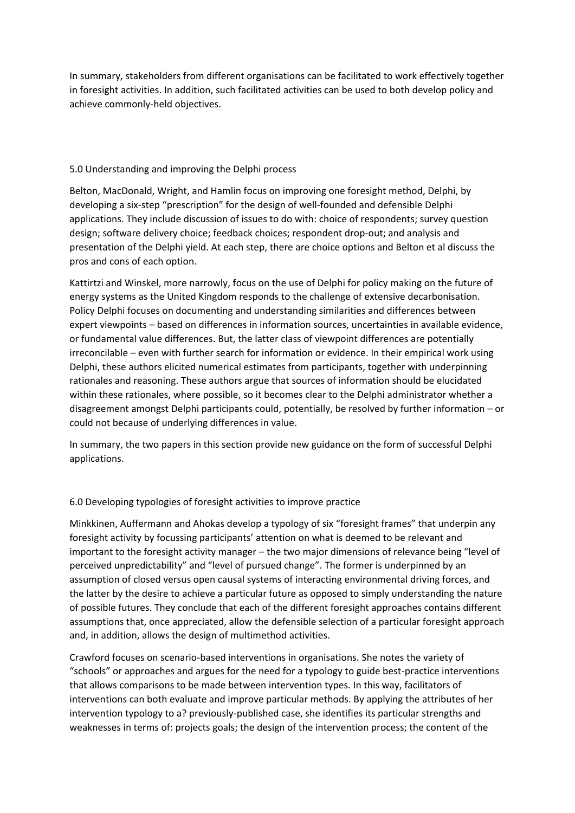In summary, stakeholders from different organisations can be facilitated to work effectively together in foresight activities. In addition, such facilitated activities can be used to both develop policy and achieve commonly-held objectives.

### 5.0 Understanding and improving the Delphi process

Belton, MacDonald, Wright, and Hamlin focus on improving one foresight method, Delphi, by developing a six-step "prescription" for the design of well-founded and defensible Delphi applications. They include discussion of issues to do with: choice of respondents; survey question design; software delivery choice; feedback choices; respondent drop-out; and analysis and presentation of the Delphi yield. At each step, there are choice options and Belton et al discuss the pros and cons of each option.

Kattirtzi and Winskel, more narrowly, focus on the use of Delphi for policy making on the future of energy systems as the United Kingdom responds to the challenge of extensive decarbonisation. Policy Delphi focuses on documenting and understanding similarities and differences between expert viewpoints – based on differences in information sources, uncertainties in available evidence, or fundamental value differences. But, the latter class of viewpoint differences are potentially irreconcilable – even with further search for information or evidence. In their empirical work using Delphi, these authors elicited numerical estimates from participants, together with underpinning rationales and reasoning. These authors argue that sources of information should be elucidated within these rationales, where possible, so it becomes clear to the Delphi administrator whether a disagreement amongst Delphi participants could, potentially, be resolved by further information – or could not because of underlying differences in value.

In summary, the two papers in this section provide new guidance on the form of successful Delphi applications.

## 6.0 Developing typologies of foresight activities to improve practice

Minkkinen, Auffermann and Ahokas develop a typology of six "foresight frames" that underpin any foresight activity by focussing participants' attention on what is deemed to be relevant and important to the foresight activity manager – the two major dimensions of relevance being "level of perceived unpredictability" and "level of pursued change". The former is underpinned by an assumption of closed versus open causal systems of interacting environmental driving forces, and the latter by the desire to achieve a particular future as opposed to simply understanding the nature of possible futures. They conclude that each of the different foresight approaches contains different assumptions that, once appreciated, allow the defensible selection of a particular foresight approach and, in addition, allows the design of multimethod activities.

Crawford focuses on scenario-based interventions in organisations. She notes the variety of "schools" or approaches and argues for the need for a typology to guide best-practice interventions that allows comparisons to be made between intervention types. In this way, facilitators of interventions can both evaluate and improve particular methods. By applying the attributes of her intervention typology to a? previously-published case, she identifies its particular strengths and weaknesses in terms of: projects goals; the design of the intervention process; the content of the